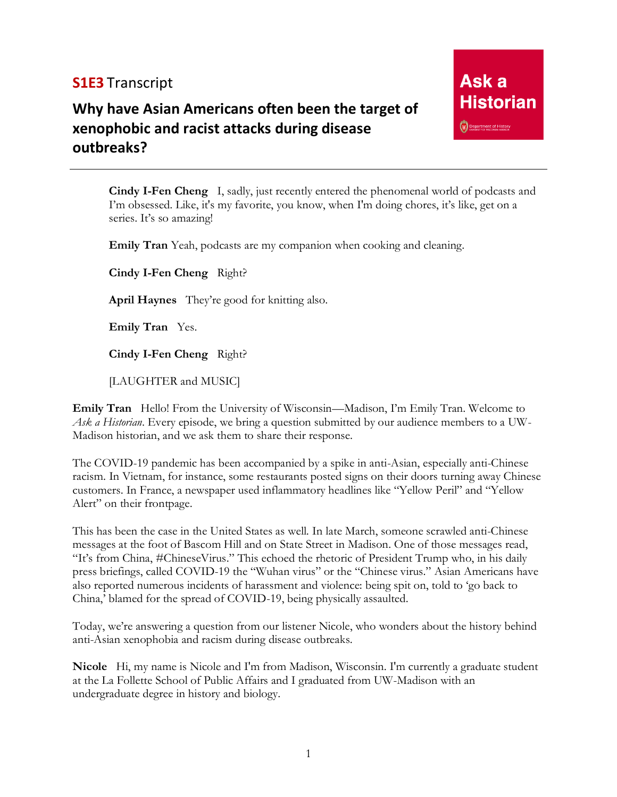## **S1E3** Transcript

## **Why have Asian Americans often been the target of xenophobic and racist attacks during disease outbreaks?**

**Cindy I-Fen Cheng** I, sadly, just recently entered the phenomenal world of podcasts and I'm obsessed. Like, it's my favorite, you know, when I'm doing chores, it's like, get on a series. It's so amazing!

**Emily Tran** Yeah, podcasts are my companion when cooking and cleaning.

**Cindy I-Fen Cheng** Right?

**April Haynes** They're good for knitting also.

**Emily Tran** Yes.

**Cindy I-Fen Cheng** Right?

[LAUGHTER and MUSIC]

**Emily Tran** Hello! From the University of Wisconsin—Madison, I'm Emily Tran. Welcome to *Ask a Historian*. Every episode, we bring a question submitted by our audience members to a UW-Madison historian, and we ask them to share their response.

The COVID-19 pandemic has been accompanied by a spike in anti-Asian, especially anti-Chinese racism. In Vietnam, for instance, some restaurants posted signs on their doors turning away Chinese customers. In France, a newspaper used inflammatory headlines like "Yellow Peril" and "Yellow Alert" on their frontpage.

This has been the case in the United States as well. In late March, someone scrawled anti-Chinese messages at the foot of Bascom Hill and on State Street in Madison. One of those messages read, "It's from China, #ChineseVirus." This echoed the rhetoric of President Trump who, in his daily press briefings, called COVID-19 the "Wuhan virus" or the "Chinese virus." Asian Americans have also reported numerous incidents of harassment and violence: being spit on, told to 'go back to China,' blamed for the spread of COVID-19, being physically assaulted.

Today, we're answering a question from our listener Nicole, who wonders about the history behind anti-Asian xenophobia and racism during disease outbreaks.

**Nicole** Hi, my name is Nicole and I'm from Madison, Wisconsin. I'm currently a graduate student at the La Follette School of Public Affairs and I graduated from UW-Madison with an undergraduate degree in history and biology.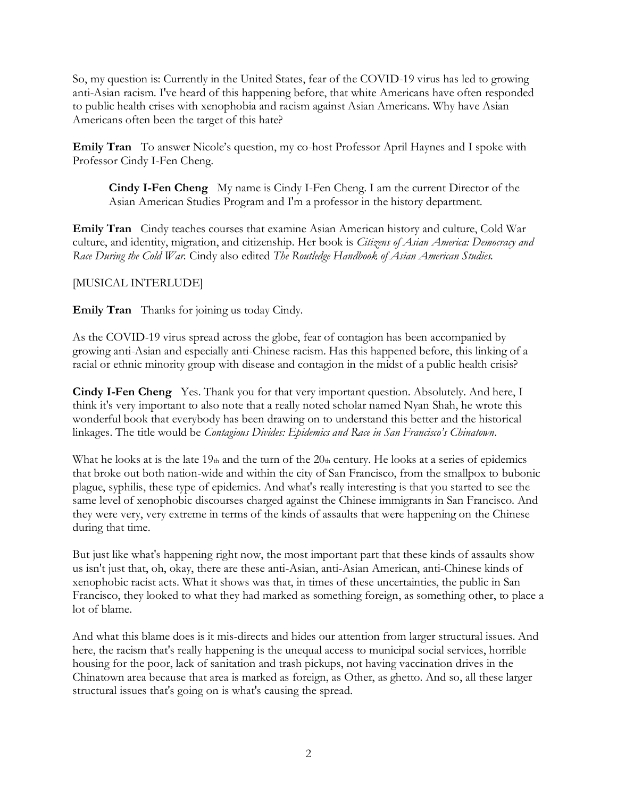So, my question is: Currently in the United States, fear of the COVID-19 virus has led to growing anti-Asian racism. I've heard of this happening before, that white Americans have often responded to public health crises with xenophobia and racism against Asian Americans. Why have Asian Americans often been the target of this hate?

**Emily Tran** To answer Nicole's question, my co-host Professor April Haynes and I spoke with Professor Cindy I-Fen Cheng.

**Cindy I-Fen Cheng** My name is Cindy I-Fen Cheng. I am the current Director of the Asian American Studies Program and I'm a professor in the history department.

**Emily Tran** Cindy teaches courses that examine Asian American history and culture, Cold War culture, and identity, migration, and citizenship. Her book is *Citizens of Asian America: Democracy and Race During the Cold War.* Cindy also edited *The Routledge Handbook of Asian American Studies.* 

[MUSICAL INTERLUDE]

**Emily Tran** Thanks for joining us today Cindy.

As the COVID-19 virus spread across the globe, fear of contagion has been accompanied by growing anti-Asian and especially anti-Chinese racism. Has this happened before, this linking of a racial or ethnic minority group with disease and contagion in the midst of a public health crisis?

**Cindy I-Fen Cheng** Yes. Thank you for that very important question. Absolutely. And here, I think it's very important to also note that a really noted scholar named Nyan Shah, he wrote this wonderful book that everybody has been drawing on to understand this better and the historical linkages. The title would be *Contagious Divides: Epidemics and Race in San Francisco's Chinatown*.

What he looks at is the late  $19<sub>th</sub>$  and the turn of the  $20<sub>th</sub>$  century. He looks at a series of epidemics that broke out both nation-wide and within the city of San Francisco, from the smallpox to bubonic plague, syphilis, these type of epidemics. And what's really interesting is that you started to see the same level of xenophobic discourses charged against the Chinese immigrants in San Francisco. And they were very, very extreme in terms of the kinds of assaults that were happening on the Chinese during that time.

But just like what's happening right now, the most important part that these kinds of assaults show us isn't just that, oh, okay, there are these anti-Asian, anti-Asian American, anti-Chinese kinds of xenophobic racist acts. What it shows was that, in times of these uncertainties, the public in San Francisco, they looked to what they had marked as something foreign, as something other, to place a lot of blame.

And what this blame does is it mis-directs and hides our attention from larger structural issues. And here, the racism that's really happening is the unequal access to municipal social services, horrible housing for the poor, lack of sanitation and trash pickups, not having vaccination drives in the Chinatown area because that area is marked as foreign, as Other, as ghetto. And so, all these larger structural issues that's going on is what's causing the spread.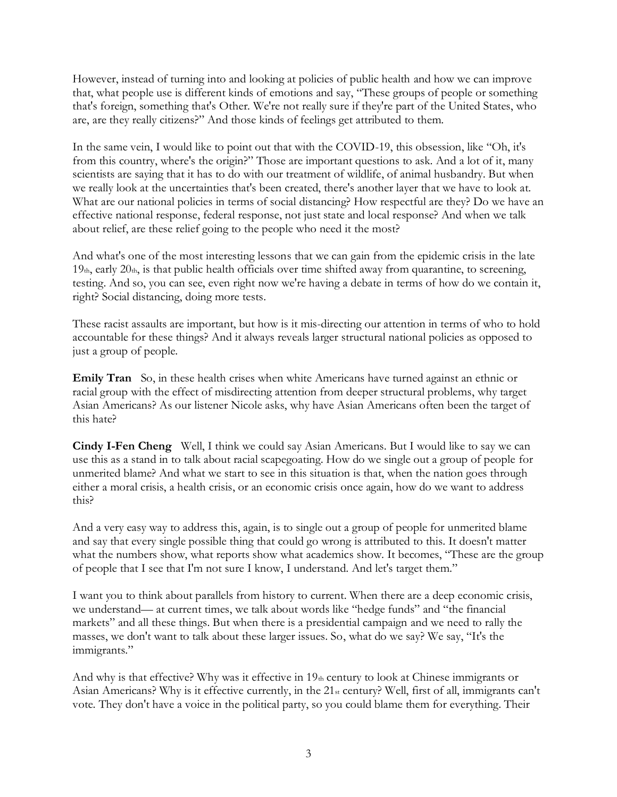However, instead of turning into and looking at policies of public health and how we can improve that, what people use is different kinds of emotions and say, "These groups of people or something that's foreign, something that's Other. We're not really sure if they're part of the United States, who are, are they really citizens?" And those kinds of feelings get attributed to them.

In the same vein, I would like to point out that with the COVID-19, this obsession, like "Oh, it's from this country, where's the origin?" Those are important questions to ask. And a lot of it, many scientists are saying that it has to do with our treatment of wildlife, of animal husbandry. But when we really look at the uncertainties that's been created, there's another layer that we have to look at. What are our national policies in terms of social distancing? How respectful are they? Do we have an effective national response, federal response, not just state and local response? And when we talk about relief, are these relief going to the people who need it the most?

And what's one of the most interesting lessons that we can gain from the epidemic crisis in the late  $19<sub>th</sub>$ , early  $20<sub>th</sub>$ , is that public health officials over time shifted away from quarantine, to screening, testing. And so, you can see, even right now we're having a debate in terms of how do we contain it, right? Social distancing, doing more tests.

These racist assaults are important, but how is it mis-directing our attention in terms of who to hold accountable for these things? And it always reveals larger structural national policies as opposed to just a group of people.

**Emily Tran** So, in these health crises when white Americans have turned against an ethnic or racial group with the effect of misdirecting attention from deeper structural problems, why target Asian Americans? As our listener Nicole asks, why have Asian Americans often been the target of this hate?

**Cindy I-Fen Cheng** Well, I think we could say Asian Americans. But I would like to say we can use this as a stand in to talk about racial scapegoating. How do we single out a group of people for unmerited blame? And what we start to see in this situation is that, when the nation goes through either a moral crisis, a health crisis, or an economic crisis once again, how do we want to address this?

And a very easy way to address this, again, is to single out a group of people for unmerited blame and say that every single possible thing that could go wrong is attributed to this. It doesn't matter what the numbers show, what reports show what academics show. It becomes, "These are the group of people that I see that I'm not sure I know, I understand. And let's target them."

I want you to think about parallels from history to current. When there are a deep economic crisis, we understand— at current times, we talk about words like "hedge funds" and "the financial markets" and all these things. But when there is a presidential campaign and we need to rally the masses, we don't want to talk about these larger issues. So, what do we say? We say, "It's the immigrants."

And why is that effective? Why was it effective in  $19<sub>th</sub>$  century to look at Chinese immigrants or Asian Americans? Why is it effective currently, in the 21<sub>st</sub> century? Well, first of all, immigrants can't vote. They don't have a voice in the political party, so you could blame them for everything. Their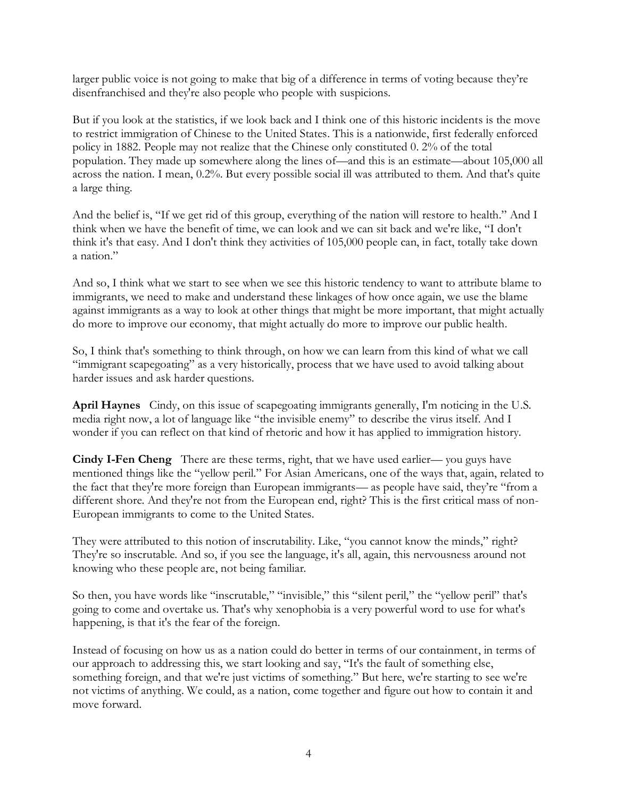larger public voice is not going to make that big of a difference in terms of voting because they're disenfranchised and they're also people who people with suspicions.

But if you look at the statistics, if we look back and I think one of this historic incidents is the move to restrict immigration of Chinese to the United States. This is a nationwide, first federally enforced policy in 1882. People may not realize that the Chinese only constituted 0. 2% of the total population. They made up somewhere along the lines of—and this is an estimate—about 105,000 all across the nation. I mean, 0.2%. But every possible social ill was attributed to them. And that's quite a large thing.

And the belief is, "If we get rid of this group, everything of the nation will restore to health." And I think when we have the benefit of time, we can look and we can sit back and we're like, "I don't think it's that easy. And I don't think they activities of 105,000 people can, in fact, totally take down a nation."

And so, I think what we start to see when we see this historic tendency to want to attribute blame to immigrants, we need to make and understand these linkages of how once again, we use the blame against immigrants as a way to look at other things that might be more important, that might actually do more to improve our economy, that might actually do more to improve our public health.

So, I think that's something to think through, on how we can learn from this kind of what we call "immigrant scapegoating" as a very historically, process that we have used to avoid talking about harder issues and ask harder questions.

**April Haynes** Cindy, on this issue of scapegoating immigrants generally, I'm noticing in the U.S. media right now, a lot of language like "the invisible enemy" to describe the virus itself. And I wonder if you can reflect on that kind of rhetoric and how it has applied to immigration history.

**Cindy I-Fen Cheng** There are these terms, right, that we have used earlier— you guys have mentioned things like the "yellow peril." For Asian Americans, one of the ways that, again, related to the fact that they're more foreign than European immigrants— as people have said, they're "from a different shore. And they're not from the European end, right? This is the first critical mass of non-European immigrants to come to the United States.

They were attributed to this notion of inscrutability. Like, "you cannot know the minds," right? They're so inscrutable. And so, if you see the language, it's all, again, this nervousness around not knowing who these people are, not being familiar.

So then, you have words like "inscrutable," "invisible," this "silent peril," the "yellow peril" that's going to come and overtake us. That's why xenophobia is a very powerful word to use for what's happening, is that it's the fear of the foreign.

Instead of focusing on how us as a nation could do better in terms of our containment, in terms of our approach to addressing this, we start looking and say, "It's the fault of something else, something foreign, and that we're just victims of something." But here, we're starting to see we're not victims of anything. We could, as a nation, come together and figure out how to contain it and move forward.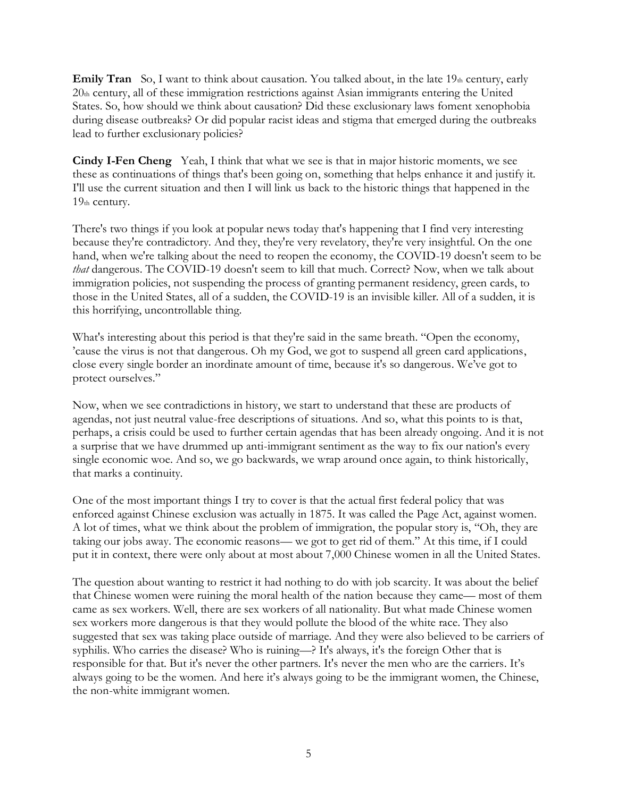**Emily Tran** So, I want to think about causation. You talked about, in the late 19th century, early 20th century, all of these immigration restrictions against Asian immigrants entering the United States. So, how should we think about causation? Did these exclusionary laws foment xenophobia during disease outbreaks? Or did popular racist ideas and stigma that emerged during the outbreaks lead to further exclusionary policies?

**Cindy I-Fen Cheng** Yeah, I think that what we see is that in major historic moments, we see these as continuations of things that's been going on, something that helps enhance it and justify it. I'll use the current situation and then I will link us back to the historic things that happened in the 19th century.

There's two things if you look at popular news today that's happening that I find very interesting because they're contradictory. And they, they're very revelatory, they're very insightful. On the one hand, when we're talking about the need to reopen the economy, the COVID-19 doesn't seem to be *that* dangerous. The COVID-19 doesn't seem to kill that much. Correct? Now, when we talk about immigration policies, not suspending the process of granting permanent residency, green cards, to those in the United States, all of a sudden, the COVID-19 is an invisible killer. All of a sudden, it is this horrifying, uncontrollable thing.

What's interesting about this period is that they're said in the same breath. "Open the economy, 'cause the virus is not that dangerous. Oh my God, we got to suspend all green card applications, close every single border an inordinate amount of time, because it's so dangerous. We've got to protect ourselves."

Now, when we see contradictions in history, we start to understand that these are products of agendas, not just neutral value-free descriptions of situations. And so, what this points to is that, perhaps, a crisis could be used to further certain agendas that has been already ongoing. And it is not a surprise that we have drummed up anti-immigrant sentiment as the way to fix our nation's every single economic woe. And so, we go backwards, we wrap around once again, to think historically, that marks a continuity.

One of the most important things I try to cover is that the actual first federal policy that was enforced against Chinese exclusion was actually in 1875. It was called the Page Act, against women. A lot of times, what we think about the problem of immigration, the popular story is, "Oh, they are taking our jobs away. The economic reasons— we got to get rid of them." At this time, if I could put it in context, there were only about at most about 7,000 Chinese women in all the United States.

The question about wanting to restrict it had nothing to do with job scarcity. It was about the belief that Chinese women were ruining the moral health of the nation because they came— most of them came as sex workers. Well, there are sex workers of all nationality. But what made Chinese women sex workers more dangerous is that they would pollute the blood of the white race. They also suggested that sex was taking place outside of marriage. And they were also believed to be carriers of syphilis. Who carries the disease? Who is ruining—? It's always, it's the foreign Other that is responsible for that. But it's never the other partners. It's never the men who are the carriers. It's always going to be the women. And here it's always going to be the immigrant women, the Chinese, the non-white immigrant women.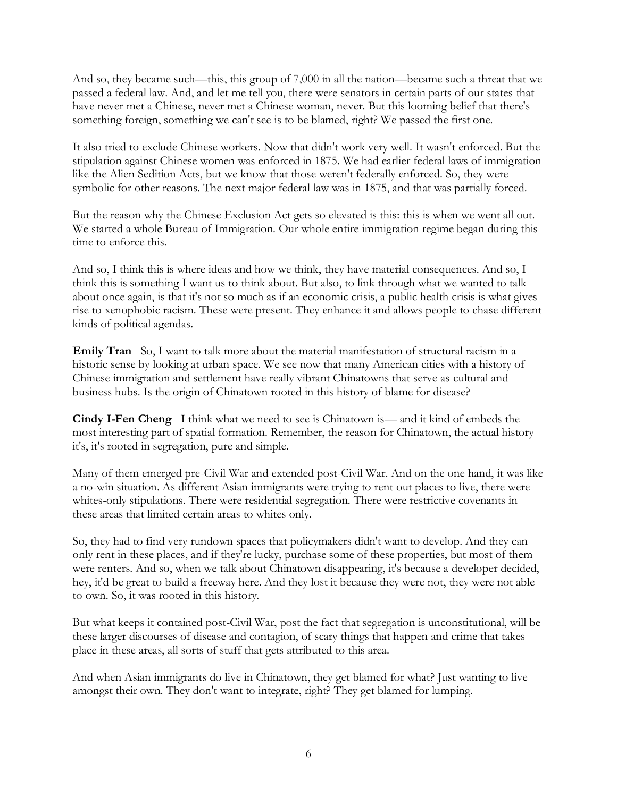And so, they became such—this, this group of 7,000 in all the nation—became such a threat that we passed a federal law. And, and let me tell you, there were senators in certain parts of our states that have never met a Chinese, never met a Chinese woman, never. But this looming belief that there's something foreign, something we can't see is to be blamed, right? We passed the first one.

It also tried to exclude Chinese workers. Now that didn't work very well. It wasn't enforced. But the stipulation against Chinese women was enforced in 1875. We had earlier federal laws of immigration like the Alien Sedition Acts, but we know that those weren't federally enforced. So, they were symbolic for other reasons. The next major federal law was in 1875, and that was partially forced.

But the reason why the Chinese Exclusion Act gets so elevated is this: this is when we went all out. We started a whole Bureau of Immigration. Our whole entire immigration regime began during this time to enforce this.

And so, I think this is where ideas and how we think, they have material consequences. And so, I think this is something I want us to think about. But also, to link through what we wanted to talk about once again, is that it's not so much as if an economic crisis, a public health crisis is what gives rise to xenophobic racism. These were present. They enhance it and allows people to chase different kinds of political agendas.

**Emily Tran** So, I want to talk more about the material manifestation of structural racism in a historic sense by looking at urban space. We see now that many American cities with a history of Chinese immigration and settlement have really vibrant Chinatowns that serve as cultural and business hubs. Is the origin of Chinatown rooted in this history of blame for disease?

**Cindy I-Fen Cheng** I think what we need to see is Chinatown is— and it kind of embeds the most interesting part of spatial formation. Remember, the reason for Chinatown, the actual history it's, it's rooted in segregation, pure and simple.

Many of them emerged pre-Civil War and extended post-Civil War. And on the one hand, it was like a no-win situation. As different Asian immigrants were trying to rent out places to live, there were whites-only stipulations. There were residential segregation. There were restrictive covenants in these areas that limited certain areas to whites only.

So, they had to find very rundown spaces that policymakers didn't want to develop. And they can only rent in these places, and if they're lucky, purchase some of these properties, but most of them were renters. And so, when we talk about Chinatown disappearing, it's because a developer decided, hey, it'd be great to build a freeway here. And they lost it because they were not, they were not able to own. So, it was rooted in this history.

But what keeps it contained post-Civil War, post the fact that segregation is unconstitutional, will be these larger discourses of disease and contagion, of scary things that happen and crime that takes place in these areas, all sorts of stuff that gets attributed to this area.

And when Asian immigrants do live in Chinatown, they get blamed for what? Just wanting to live amongst their own. They don't want to integrate, right? They get blamed for lumping.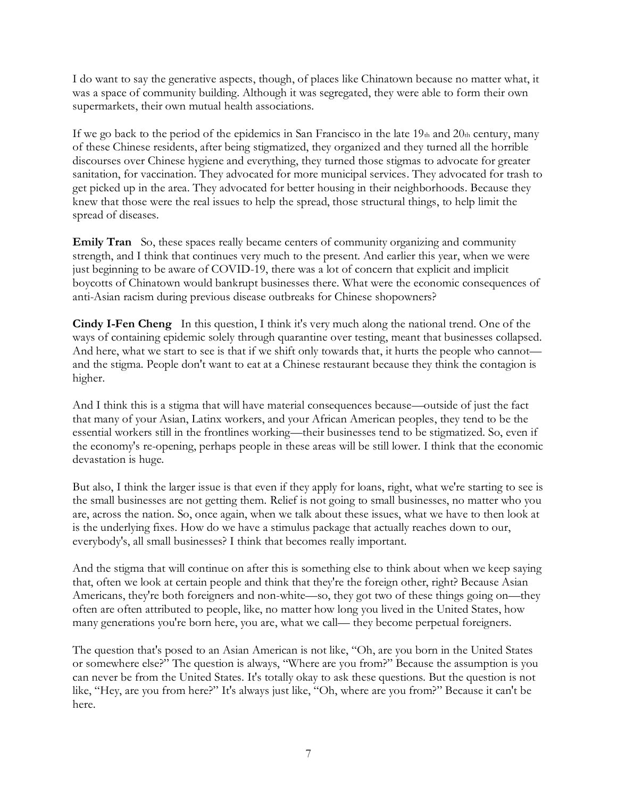I do want to say the generative aspects, though, of places like Chinatown because no matter what, it was a space of community building. Although it was segregated, they were able to form their own supermarkets, their own mutual health associations.

If we go back to the period of the epidemics in San Francisco in the late  $19<sub>th</sub>$  and  $20<sub>th</sub>$  century, many of these Chinese residents, after being stigmatized, they organized and they turned all the horrible discourses over Chinese hygiene and everything, they turned those stigmas to advocate for greater sanitation, for vaccination. They advocated for more municipal services. They advocated for trash to get picked up in the area. They advocated for better housing in their neighborhoods. Because they knew that those were the real issues to help the spread, those structural things, to help limit the spread of diseases.

**Emily Tran** So, these spaces really became centers of community organizing and community strength, and I think that continues very much to the present. And earlier this year, when we were just beginning to be aware of COVID-19, there was a lot of concern that explicit and implicit boycotts of Chinatown would bankrupt businesses there. What were the economic consequences of anti-Asian racism during previous disease outbreaks for Chinese shopowners?

**Cindy I-Fen Cheng** In this question, I think it's very much along the national trend. One of the ways of containing epidemic solely through quarantine over testing, meant that businesses collapsed. And here, what we start to see is that if we shift only towards that, it hurts the people who cannot and the stigma. People don't want to eat at a Chinese restaurant because they think the contagion is higher.

And I think this is a stigma that will have material consequences because—outside of just the fact that many of your Asian, Latinx workers, and your African American peoples, they tend to be the essential workers still in the frontlines working—their businesses tend to be stigmatized. So, even if the economy's re-opening, perhaps people in these areas will be still lower. I think that the economic devastation is huge.

But also, I think the larger issue is that even if they apply for loans, right, what we're starting to see is the small businesses are not getting them. Relief is not going to small businesses, no matter who you are, across the nation. So, once again, when we talk about these issues, what we have to then look at is the underlying fixes. How do we have a stimulus package that actually reaches down to our, everybody's, all small businesses? I think that becomes really important.

And the stigma that will continue on after this is something else to think about when we keep saying that, often we look at certain people and think that they're the foreign other, right? Because Asian Americans, they're both foreigners and non-white—so, they got two of these things going on—they often are often attributed to people, like, no matter how long you lived in the United States, how many generations you're born here, you are, what we call— they become perpetual foreigners.

The question that's posed to an Asian American is not like, "Oh, are you born in the United States or somewhere else?" The question is always, "Where are you from?" Because the assumption is you can never be from the United States. It's totally okay to ask these questions. But the question is not like, "Hey, are you from here?" It's always just like, "Oh, where are you from?" Because it can't be here.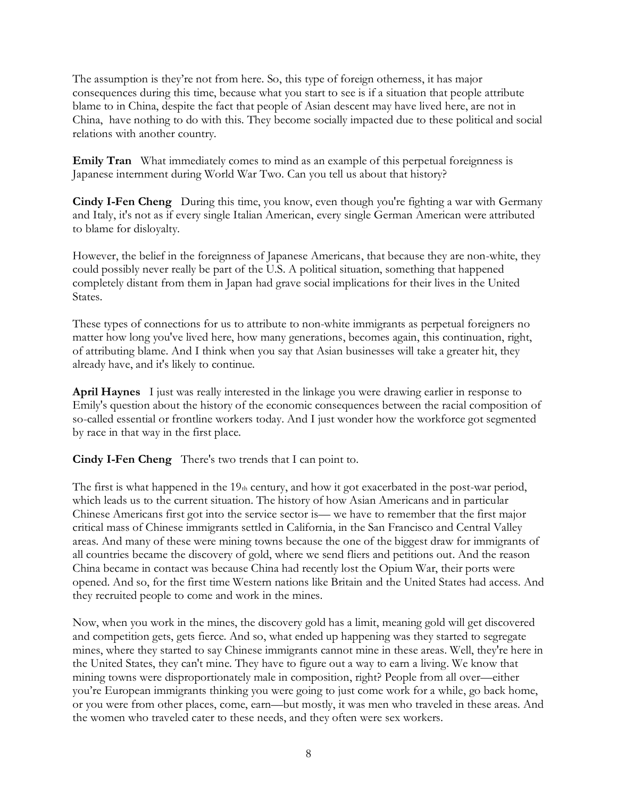The assumption is they're not from here. So, this type of foreign otherness, it has major consequences during this time, because what you start to see is if a situation that people attribute blame to in China, despite the fact that people of Asian descent may have lived here, are not in China, have nothing to do with this. They become socially impacted due to these political and social relations with another country.

**Emily Tran** What immediately comes to mind as an example of this perpetual foreignness is Japanese internment during World War Two. Can you tell us about that history?

**Cindy I-Fen Cheng** During this time, you know, even though you're fighting a war with Germany and Italy, it's not as if every single Italian American, every single German American were attributed to blame for disloyalty.

However, the belief in the foreignness of Japanese Americans, that because they are non-white, they could possibly never really be part of the U.S. A political situation, something that happened completely distant from them in Japan had grave social implications for their lives in the United States.

These types of connections for us to attribute to non-white immigrants as perpetual foreigners no matter how long you've lived here, how many generations, becomes again, this continuation, right, of attributing blame. And I think when you say that Asian businesses will take a greater hit, they already have, and it's likely to continue.

**April Haynes** I just was really interested in the linkage you were drawing earlier in response to Emily's question about the history of the economic consequences between the racial composition of so-called essential or frontline workers today. And I just wonder how the workforce got segmented by race in that way in the first place.

**Cindy I-Fen Cheng** There's two trends that I can point to.

The first is what happened in the 19th century, and how it got exacerbated in the post-war period, which leads us to the current situation. The history of how Asian Americans and in particular Chinese Americans first got into the service sector is— we have to remember that the first major critical mass of Chinese immigrants settled in California, in the San Francisco and Central Valley areas. And many of these were mining towns because the one of the biggest draw for immigrants of all countries became the discovery of gold, where we send fliers and petitions out. And the reason China became in contact was because China had recently lost the Opium War, their ports were opened. And so, for the first time Western nations like Britain and the United States had access. And they recruited people to come and work in the mines.

Now, when you work in the mines, the discovery gold has a limit, meaning gold will get discovered and competition gets, gets fierce. And so, what ended up happening was they started to segregate mines, where they started to say Chinese immigrants cannot mine in these areas. Well, they're here in the United States, they can't mine. They have to figure out a way to earn a living. We know that mining towns were disproportionately male in composition, right? People from all over—either you're European immigrants thinking you were going to just come work for a while, go back home, or you were from other places, come, earn—but mostly, it was men who traveled in these areas. And the women who traveled cater to these needs, and they often were sex workers.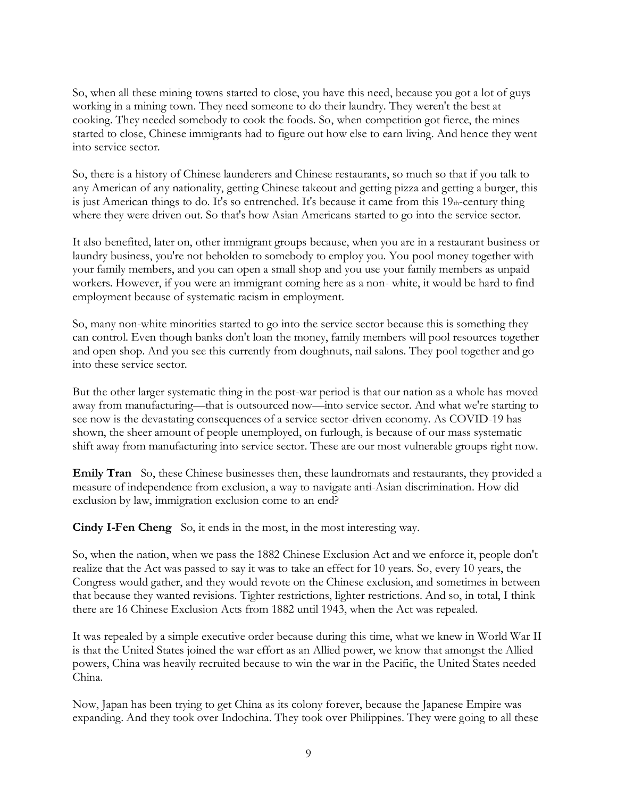So, when all these mining towns started to close, you have this need, because you got a lot of guys working in a mining town. They need someone to do their laundry. They weren't the best at cooking. They needed somebody to cook the foods. So, when competition got fierce, the mines started to close, Chinese immigrants had to figure out how else to earn living. And hence they went into service sector.

So, there is a history of Chinese launderers and Chinese restaurants, so much so that if you talk to any American of any nationality, getting Chinese takeout and getting pizza and getting a burger, this is just American things to do. It's so entrenched. It's because it came from this 19th-century thing where they were driven out. So that's how Asian Americans started to go into the service sector.

It also benefited, later on, other immigrant groups because, when you are in a restaurant business or laundry business, you're not beholden to somebody to employ you. You pool money together with your family members, and you can open a small shop and you use your family members as unpaid workers. However, if you were an immigrant coming here as a non- white, it would be hard to find employment because of systematic racism in employment.

So, many non-white minorities started to go into the service sector because this is something they can control. Even though banks don't loan the money, family members will pool resources together and open shop. And you see this currently from doughnuts, nail salons. They pool together and go into these service sector.

But the other larger systematic thing in the post-war period is that our nation as a whole has moved away from manufacturing—that is outsourced now—into service sector. And what we're starting to see now is the devastating consequences of a service sector-driven economy. As COVID-19 has shown, the sheer amount of people unemployed, on furlough, is because of our mass systematic shift away from manufacturing into service sector. These are our most vulnerable groups right now.

**Emily Tran** So, these Chinese businesses then, these laundromats and restaurants, they provided a measure of independence from exclusion, a way to navigate anti-Asian discrimination. How did exclusion by law, immigration exclusion come to an end?

**Cindy I-Fen Cheng** So, it ends in the most, in the most interesting way.

So, when the nation, when we pass the 1882 Chinese Exclusion Act and we enforce it, people don't realize that the Act was passed to say it was to take an effect for 10 years. So, every 10 years, the Congress would gather, and they would revote on the Chinese exclusion, and sometimes in between that because they wanted revisions. Tighter restrictions, lighter restrictions. And so, in total, I think there are 16 Chinese Exclusion Acts from 1882 until 1943, when the Act was repealed.

It was repealed by a simple executive order because during this time, what we knew in World War II is that the United States joined the war effort as an Allied power, we know that amongst the Allied powers, China was heavily recruited because to win the war in the Pacific, the United States needed China.

Now, Japan has been trying to get China as its colony forever, because the Japanese Empire was expanding. And they took over Indochina. They took over Philippines. They were going to all these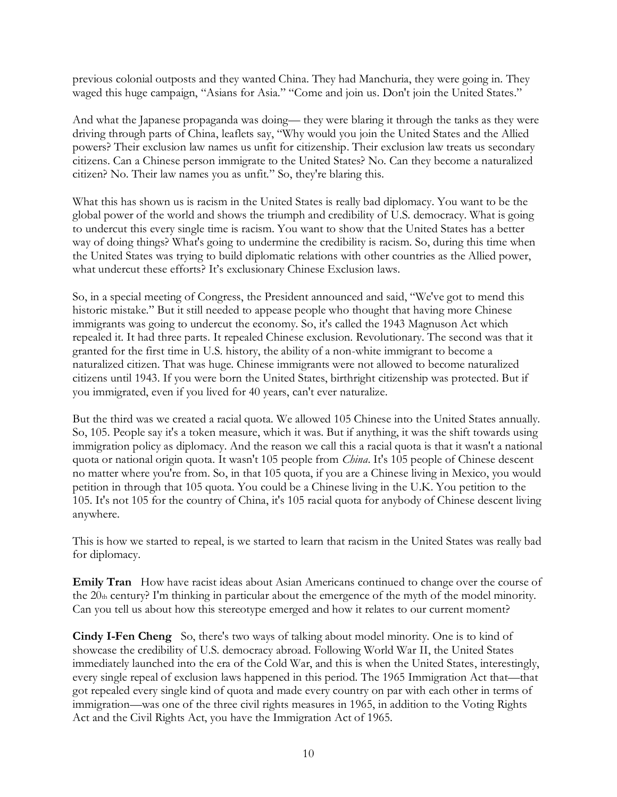previous colonial outposts and they wanted China. They had Manchuria, they were going in. They waged this huge campaign, "Asians for Asia." "Come and join us. Don't join the United States."

And what the Japanese propaganda was doing— they were blaring it through the tanks as they were driving through parts of China, leaflets say, "Why would you join the United States and the Allied powers? Their exclusion law names us unfit for citizenship. Their exclusion law treats us secondary citizens. Can a Chinese person immigrate to the United States? No. Can they become a naturalized citizen? No. Their law names you as unfit." So, they're blaring this.

What this has shown us is racism in the United States is really bad diplomacy. You want to be the global power of the world and shows the triumph and credibility of U.S. democracy. What is going to undercut this every single time is racism. You want to show that the United States has a better way of doing things? What's going to undermine the credibility is racism. So, during this time when the United States was trying to build diplomatic relations with other countries as the Allied power, what undercut these efforts? It's exclusionary Chinese Exclusion laws.

So, in a special meeting of Congress, the President announced and said, "We've got to mend this historic mistake." But it still needed to appease people who thought that having more Chinese immigrants was going to undercut the economy. So, it's called the 1943 Magnuson Act which repealed it. It had three parts. It repealed Chinese exclusion. Revolutionary. The second was that it granted for the first time in U.S. history, the ability of a non-white immigrant to become a naturalized citizen. That was huge. Chinese immigrants were not allowed to become naturalized citizens until 1943. If you were born the United States, birthright citizenship was protected. But if you immigrated, even if you lived for 40 years, can't ever naturalize.

But the third was we created a racial quota. We allowed 105 Chinese into the United States annually. So, 105. People say it's a token measure, which it was. But if anything, it was the shift towards using immigration policy as diplomacy. And the reason we call this a racial quota is that it wasn't a national quota or national origin quota. It wasn't 105 people from *China*. It's 105 people of Chinese descent no matter where you're from. So, in that 105 quota, if you are a Chinese living in Mexico, you would petition in through that 105 quota. You could be a Chinese living in the U.K. You petition to the 105. It's not 105 for the country of China, it's 105 racial quota for anybody of Chinese descent living anywhere.

This is how we started to repeal, is we started to learn that racism in the United States was really bad for diplomacy.

**Emily Tran** How have racist ideas about Asian Americans continued to change over the course of the 20th century? I'm thinking in particular about the emergence of the myth of the model minority. Can you tell us about how this stereotype emerged and how it relates to our current moment?

**Cindy I-Fen Cheng** So, there's two ways of talking about model minority. One is to kind of showcase the credibility of U.S. democracy abroad. Following World War II, the United States immediately launched into the era of the Cold War, and this is when the United States, interestingly, every single repeal of exclusion laws happened in this period. The 1965 Immigration Act that—that got repealed every single kind of quota and made every country on par with each other in terms of immigration—was one of the three civil rights measures in 1965, in addition to the Voting Rights Act and the Civil Rights Act, you have the Immigration Act of 1965.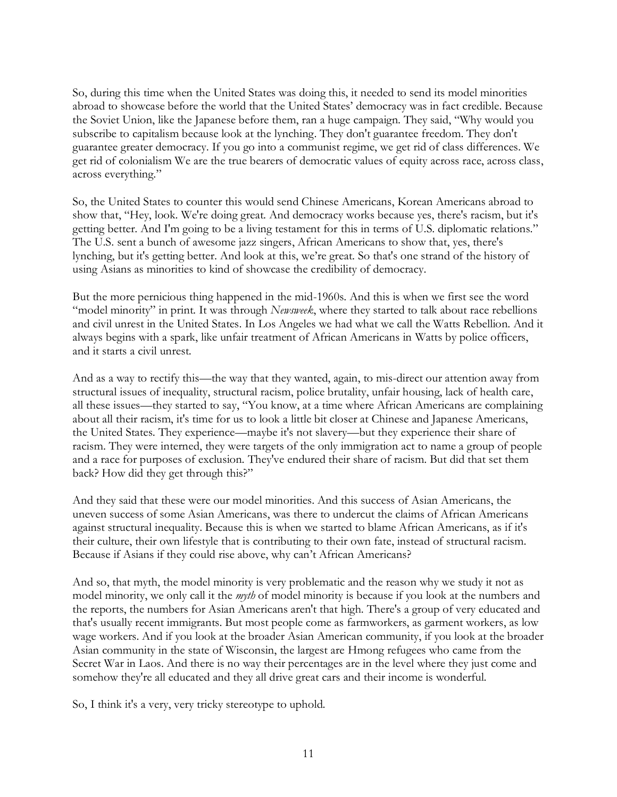So, during this time when the United States was doing this, it needed to send its model minorities abroad to showcase before the world that the United States' democracy was in fact credible. Because the Soviet Union, like the Japanese before them, ran a huge campaign. They said, "Why would you subscribe to capitalism because look at the lynching. They don't guarantee freedom. They don't guarantee greater democracy. If you go into a communist regime, we get rid of class differences. We get rid of colonialism We are the true bearers of democratic values of equity across race, across class, across everything."

So, the United States to counter this would send Chinese Americans, Korean Americans abroad to show that, "Hey, look. We're doing great. And democracy works because yes, there's racism, but it's getting better. And I'm going to be a living testament for this in terms of U.S. diplomatic relations." The U.S. sent a bunch of awesome jazz singers, African Americans to show that, yes, there's lynching, but it's getting better. And look at this, we're great. So that's one strand of the history of using Asians as minorities to kind of showcase the credibility of democracy.

But the more pernicious thing happened in the mid-1960s. And this is when we first see the word "model minority" in print. It was through *Newsweek*, where they started to talk about race rebellions and civil unrest in the United States. In Los Angeles we had what we call the Watts Rebellion. And it always begins with a spark, like unfair treatment of African Americans in Watts by police officers, and it starts a civil unrest.

And as a way to rectify this—the way that they wanted, again, to mis-direct our attention away from structural issues of inequality, structural racism, police brutality, unfair housing, lack of health care, all these issues—they started to say, "You know, at a time where African Americans are complaining about all their racism, it's time for us to look a little bit closer at Chinese and Japanese Americans, the United States. They experience—maybe it's not slavery—but they experience their share of racism. They were interned, they were targets of the only immigration act to name a group of people and a race for purposes of exclusion. They've endured their share of racism. But did that set them back? How did they get through this?"

And they said that these were our model minorities. And this success of Asian Americans, the uneven success of some Asian Americans, was there to undercut the claims of African Americans against structural inequality. Because this is when we started to blame African Americans, as if it's their culture, their own lifestyle that is contributing to their own fate, instead of structural racism. Because if Asians if they could rise above, why can't African Americans?

And so, that myth, the model minority is very problematic and the reason why we study it not as model minority, we only call it the *myth* of model minority is because if you look at the numbers and the reports, the numbers for Asian Americans aren't that high. There's a group of very educated and that's usually recent immigrants. But most people come as farmworkers, as garment workers, as low wage workers. And if you look at the broader Asian American community, if you look at the broader Asian community in the state of Wisconsin, the largest are Hmong refugees who came from the Secret War in Laos. And there is no way their percentages are in the level where they just come and somehow they're all educated and they all drive great cars and their income is wonderful.

So, I think it's a very, very tricky stereotype to uphold.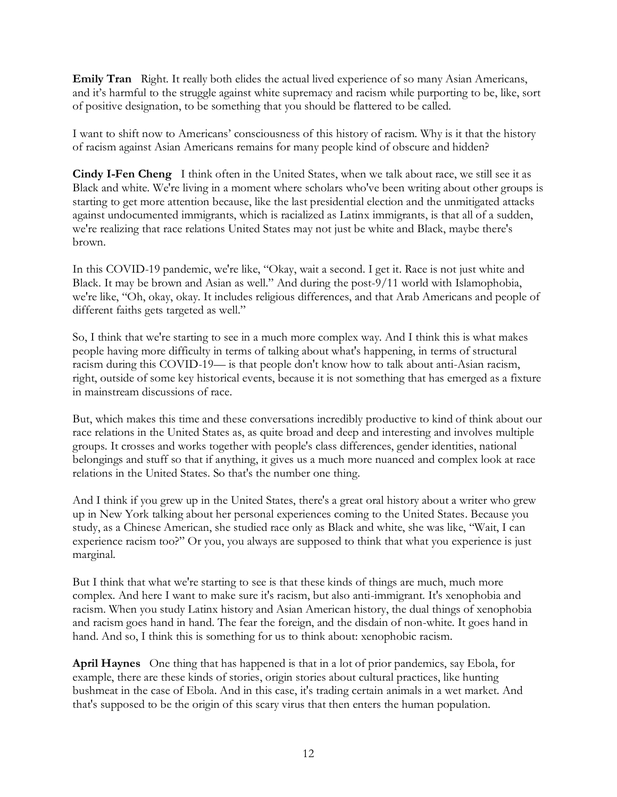**Emily Tran** Right. It really both elides the actual lived experience of so many Asian Americans, and it's harmful to the struggle against white supremacy and racism while purporting to be, like, sort of positive designation, to be something that you should be flattered to be called.

I want to shift now to Americans' consciousness of this history of racism. Why is it that the history of racism against Asian Americans remains for many people kind of obscure and hidden?

**Cindy I-Fen Cheng** I think often in the United States, when we talk about race, we still see it as Black and white. We're living in a moment where scholars who've been writing about other groups is starting to get more attention because, like the last presidential election and the unmitigated attacks against undocumented immigrants, which is racialized as Latinx immigrants, is that all of a sudden, we're realizing that race relations United States may not just be white and Black, maybe there's brown.

In this COVID-19 pandemic, we're like, "Okay, wait a second. I get it. Race is not just white and Black. It may be brown and Asian as well." And during the post-9/11 world with Islamophobia, we're like, "Oh, okay, okay. It includes religious differences, and that Arab Americans and people of different faiths gets targeted as well."

So, I think that we're starting to see in a much more complex way. And I think this is what makes people having more difficulty in terms of talking about what's happening, in terms of structural racism during this COVID-19— is that people don't know how to talk about anti-Asian racism, right, outside of some key historical events, because it is not something that has emerged as a fixture in mainstream discussions of race.

But, which makes this time and these conversations incredibly productive to kind of think about our race relations in the United States as, as quite broad and deep and interesting and involves multiple groups. It crosses and works together with people's class differences, gender identities, national belongings and stuff so that if anything, it gives us a much more nuanced and complex look at race relations in the United States. So that's the number one thing.

And I think if you grew up in the United States, there's a great oral history about a writer who grew up in New York talking about her personal experiences coming to the United States. Because you study, as a Chinese American, she studied race only as Black and white, she was like, "Wait, I can experience racism too?" Or you, you always are supposed to think that what you experience is just marginal.

But I think that what we're starting to see is that these kinds of things are much, much more complex. And here I want to make sure it's racism, but also anti-immigrant. It's xenophobia and racism. When you study Latinx history and Asian American history, the dual things of xenophobia and racism goes hand in hand. The fear the foreign, and the disdain of non-white. It goes hand in hand. And so, I think this is something for us to think about: xenophobic racism.

**April Haynes** One thing that has happened is that in a lot of prior pandemics, say Ebola, for example, there are these kinds of stories, origin stories about cultural practices, like hunting bushmeat in the case of Ebola. And in this case, it's trading certain animals in a wet market. And that's supposed to be the origin of this scary virus that then enters the human population.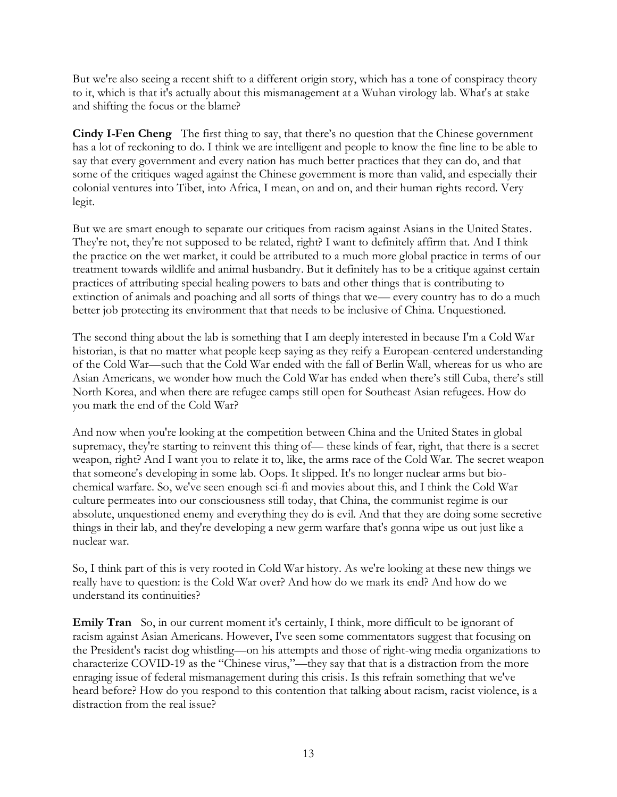But we're also seeing a recent shift to a different origin story, which has a tone of conspiracy theory to it, which is that it's actually about this mismanagement at a Wuhan virology lab. What's at stake and shifting the focus or the blame?

**Cindy I-Fen Cheng** The first thing to say, that there's no question that the Chinese government has a lot of reckoning to do. I think we are intelligent and people to know the fine line to be able to say that every government and every nation has much better practices that they can do, and that some of the critiques waged against the Chinese government is more than valid, and especially their colonial ventures into Tibet, into Africa, I mean, on and on, and their human rights record. Very legit.

But we are smart enough to separate our critiques from racism against Asians in the United States. They're not, they're not supposed to be related, right? I want to definitely affirm that. And I think the practice on the wet market, it could be attributed to a much more global practice in terms of our treatment towards wildlife and animal husbandry. But it definitely has to be a critique against certain practices of attributing special healing powers to bats and other things that is contributing to extinction of animals and poaching and all sorts of things that we— every country has to do a much better job protecting its environment that that needs to be inclusive of China. Unquestioned.

The second thing about the lab is something that I am deeply interested in because I'm a Cold War historian, is that no matter what people keep saying as they reify a European-centered understanding of the Cold War—such that the Cold War ended with the fall of Berlin Wall, whereas for us who are Asian Americans, we wonder how much the Cold War has ended when there's still Cuba, there's still North Korea, and when there are refugee camps still open for Southeast Asian refugees. How do you mark the end of the Cold War?

And now when you're looking at the competition between China and the United States in global supremacy, they're starting to reinvent this thing of— these kinds of fear, right, that there is a secret weapon, right? And I want you to relate it to, like, the arms race of the Cold War. The secret weapon that someone's developing in some lab. Oops. It slipped. It's no longer nuclear arms but biochemical warfare. So, we've seen enough sci-fi and movies about this, and I think the Cold War culture permeates into our consciousness still today, that China, the communist regime is our absolute, unquestioned enemy and everything they do is evil. And that they are doing some secretive things in their lab, and they're developing a new germ warfare that's gonna wipe us out just like a nuclear war.

So, I think part of this is very rooted in Cold War history. As we're looking at these new things we really have to question: is the Cold War over? And how do we mark its end? And how do we understand its continuities?

**Emily Tran** So, in our current moment it's certainly, I think, more difficult to be ignorant of racism against Asian Americans. However, I've seen some commentators suggest that focusing on the President's racist dog whistling—on his attempts and those of right-wing media organizations to characterize COVID-19 as the "Chinese virus,"—they say that that is a distraction from the more enraging issue of federal mismanagement during this crisis. Is this refrain something that we've heard before? How do you respond to this contention that talking about racism, racist violence, is a distraction from the real issue?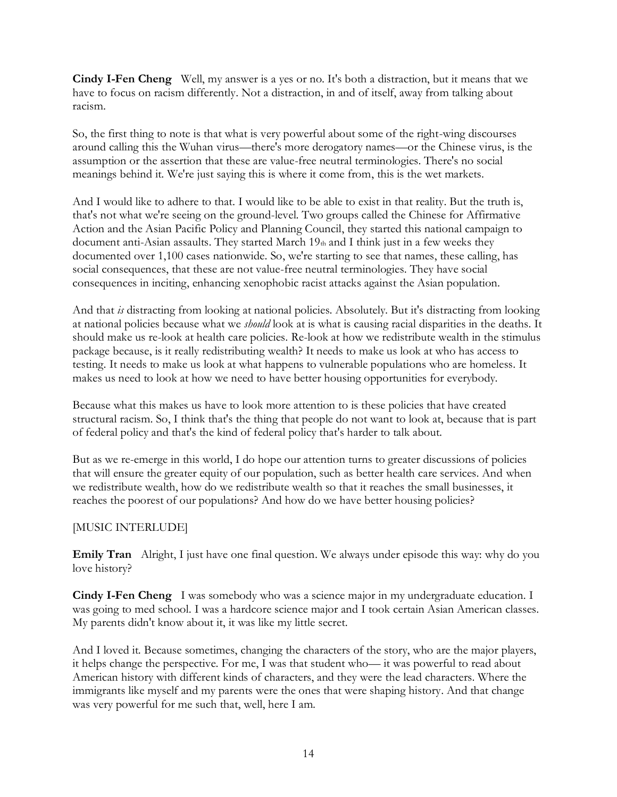**Cindy I-Fen Cheng** Well, my answer is a yes or no. It's both a distraction, but it means that we have to focus on racism differently. Not a distraction, in and of itself, away from talking about racism.

So, the first thing to note is that what is very powerful about some of the right-wing discourses around calling this the Wuhan virus—there's more derogatory names—or the Chinese virus, is the assumption or the assertion that these are value-free neutral terminologies. There's no social meanings behind it. We're just saying this is where it come from, this is the wet markets.

And I would like to adhere to that. I would like to be able to exist in that reality. But the truth is, that's not what we're seeing on the ground-level. Two groups called the Chinese for Affirmative Action and the Asian Pacific Policy and Planning Council, they started this national campaign to document anti-Asian assaults. They started March 19th and I think just in a few weeks they documented over 1,100 cases nationwide. So, we're starting to see that names, these calling, has social consequences, that these are not value-free neutral terminologies. They have social consequences in inciting, enhancing xenophobic racist attacks against the Asian population.

And that *is* distracting from looking at national policies. Absolutely. But it's distracting from looking at national policies because what we *should* look at is what is causing racial disparities in the deaths. It should make us re-look at health care policies. Re-look at how we redistribute wealth in the stimulus package because, is it really redistributing wealth? It needs to make us look at who has access to testing. It needs to make us look at what happens to vulnerable populations who are homeless. It makes us need to look at how we need to have better housing opportunities for everybody.

Because what this makes us have to look more attention to is these policies that have created structural racism. So, I think that's the thing that people do not want to look at, because that is part of federal policy and that's the kind of federal policy that's harder to talk about.

But as we re-emerge in this world, I do hope our attention turns to greater discussions of policies that will ensure the greater equity of our population, such as better health care services. And when we redistribute wealth, how do we redistribute wealth so that it reaches the small businesses, it reaches the poorest of our populations? And how do we have better housing policies?

## [MUSIC INTERLUDE]

**Emily Tran** Alright, I just have one final question. We always under episode this way: why do you love history?

**Cindy I-Fen Cheng** I was somebody who was a science major in my undergraduate education. I was going to med school. I was a hardcore science major and I took certain Asian American classes. My parents didn't know about it, it was like my little secret.

And I loved it. Because sometimes, changing the characters of the story, who are the major players, it helps change the perspective. For me, I was that student who— it was powerful to read about American history with different kinds of characters, and they were the lead characters. Where the immigrants like myself and my parents were the ones that were shaping history. And that change was very powerful for me such that, well, here I am.